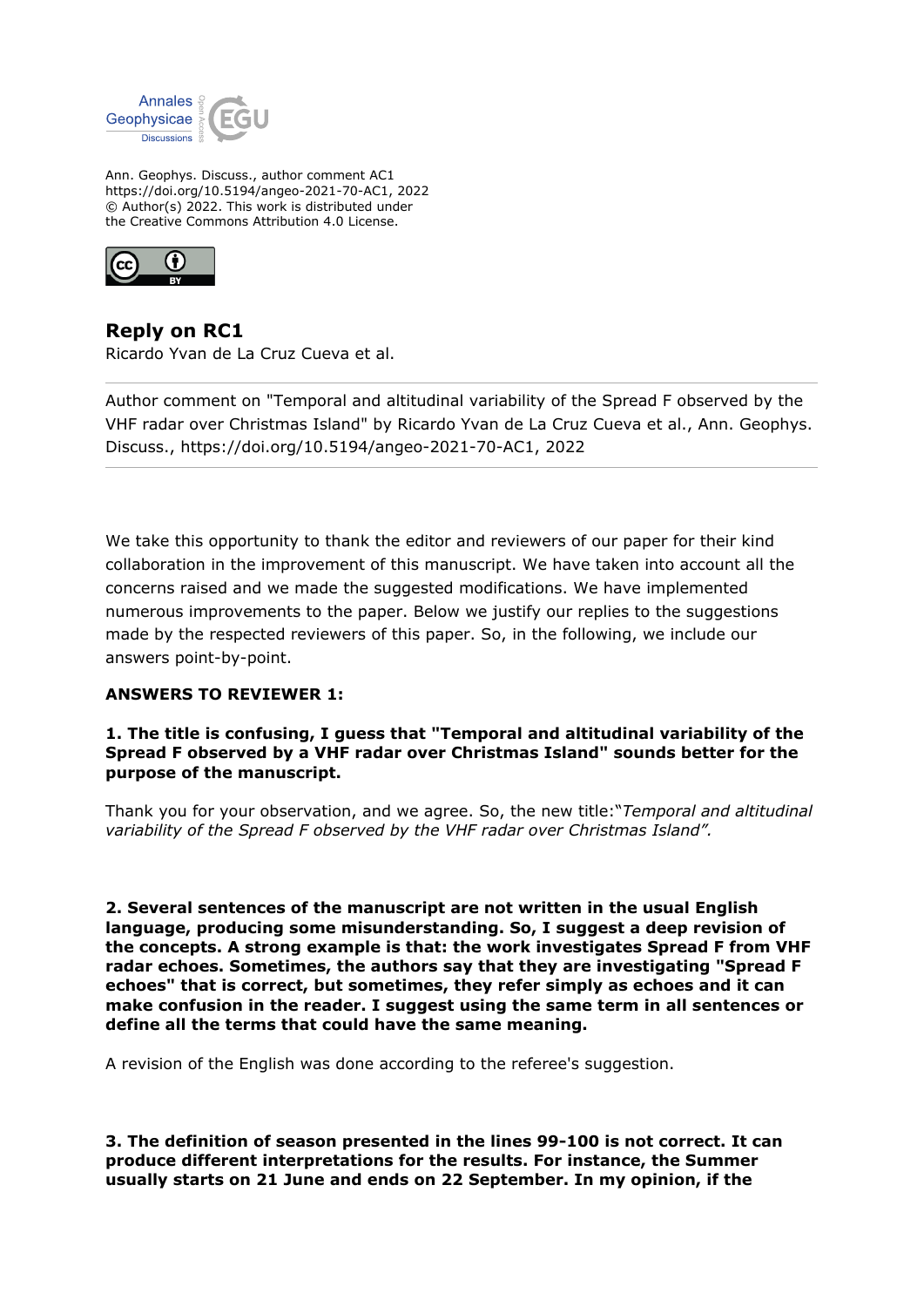

Ann. Geophys. Discuss., author comment AC1 https://doi.org/10.5194/angeo-2021-70-AC1, 2022 © Author(s) 2022. This work is distributed under the Creative Commons Attribution 4.0 License.



**Reply on RC1** Ricardo Yvan de La Cruz Cueva et al.

Author comment on "Temporal and altitudinal variability of the Spread F observed by the VHF radar over Christmas Island" by Ricardo Yvan de La Cruz Cueva et al., Ann. Geophys. Discuss., https://doi.org/10.5194/angeo-2021-70-AC1, 2022

We take this opportunity to thank the editor and reviewers of our paper for their kind collaboration in the improvement of this manuscript. We have taken into account all the concerns raised and we made the suggested modifications. We have implemented numerous improvements to the paper. Below we justify our replies to the suggestions made by the respected reviewers of this paper. So, in the following, we include our answers point-by-point.

# **ANSWERS TO REVIEWER 1:**

**1. The title is confusing, I guess that "Temporal and altitudinal variability of the Spread F observed by a VHF radar over Christmas Island" sounds better for the purpose of the manuscript.**

Thank you for your observation, and we agree. So, the new title:"*Temporal and altitudinal variability of the Spread F observed by the VHF radar over Christmas Island".*

**2. Several sentences of the manuscript are not written in the usual English language, producing some misunderstanding. So, I suggest a deep revision of the concepts. A strong example is that: the work investigates Spread F from VHF radar echoes. Sometimes, the authors say that they are investigating "Spread F echoes" that is correct, but sometimes, they refer simply as echoes and it can make confusion in the reader. I suggest using the same term in all sentences or define all the terms that could have the same meaning.**

A revision of the English was done according to the referee's suggestion.

**3. The definition of season presented in the lines 99-100 is not correct. It can produce different interpretations for the results. For instance, the Summer usually starts on 21 June and ends on 22 September. In my opinion, if the**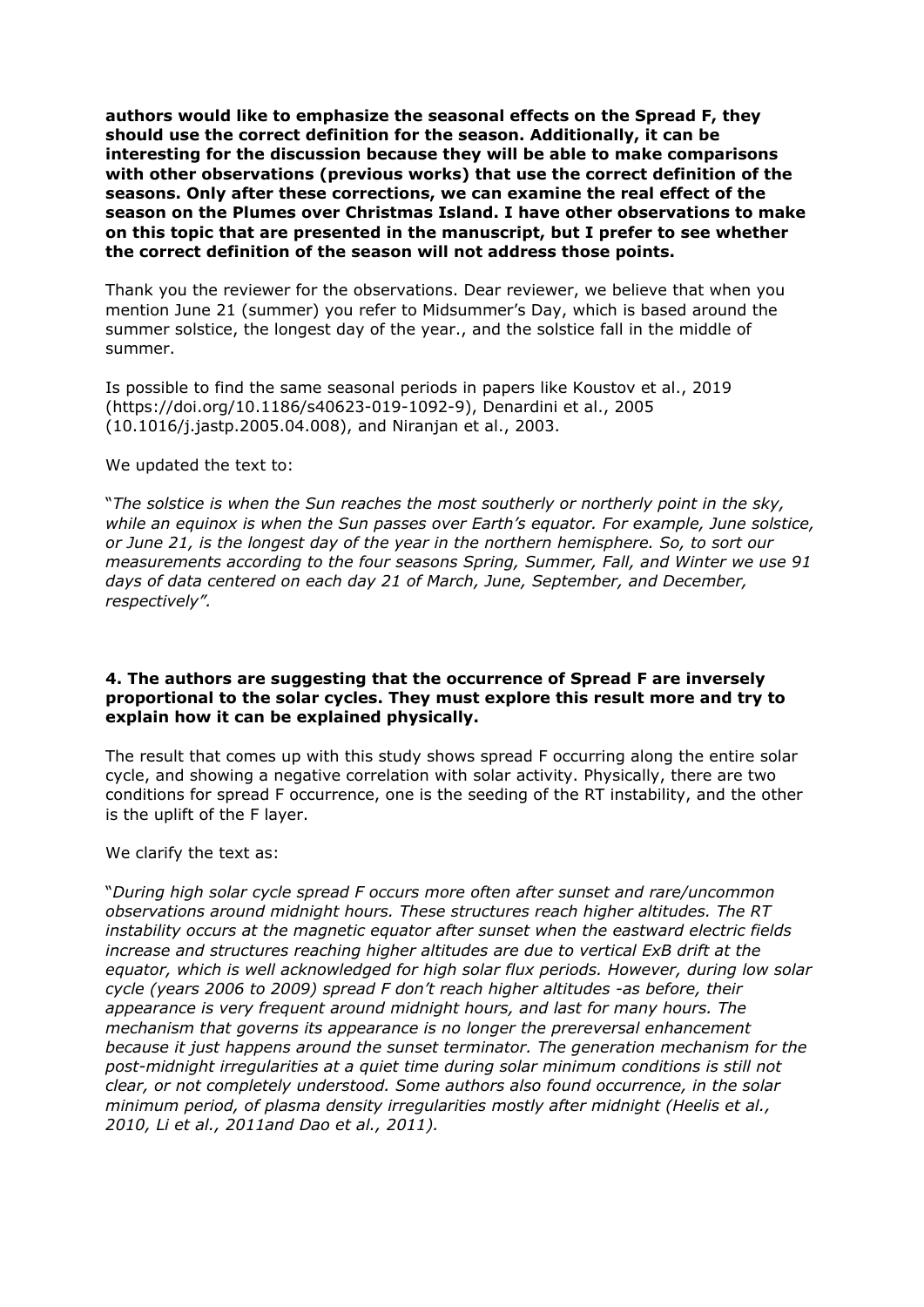**authors would like to emphasize the seasonal effects on the Spread F, they should use the correct definition for the season. Additionally, it can be interesting for the discussion because they will be able to make comparisons with other observations (previous works) that use the correct definition of the seasons. Only after these corrections, we can examine the real effect of the season on the Plumes over Christmas Island. I have other observations to make on this topic that are presented in the manuscript, but I prefer to see whether the correct definition of the season will not address those points.**

Thank you the reviewer for the observations. Dear reviewer, we believe that when you mention June 21 (summer) you refer to Midsummer's Day, which is based around the summer solstice, the longest day of the year., and the solstice fall in the middle of summer.

Is possible to find the same seasonal periods in papers like Koustov et al., 2019 (https://doi.org/10.1186/s40623-019-1092-9), Denardini et al., 2005 (10.1016/j.jastp.2005.04.008), and Niranjan et al., 2003.

#### We updated the text to:

"*The solstice is when the Sun reaches the most southerly or northerly point in the sky, while an equinox is when the Sun passes over Earth's equator. For example, June solstice, or June 21, is the longest day of the year in the northern hemisphere. So, to sort our measurements according to the four seasons Spring, Summer, Fall, and Winter we use 91 days of data centered on each day 21 of March, June, September, and December, respectively".*

### **4. The authors are suggesting that the occurrence of Spread F are inversely proportional to the solar cycles. They must explore this result more and try to explain how it can be explained physically.**

The result that comes up with this study shows spread F occurring along the entire solar cycle, and showing a negative correlation with solar activity. Physically, there are two conditions for spread F occurrence, one is the seeding of the RT instability, and the other is the uplift of the F layer.

### We clarify the text as:

"*During high solar cycle spread F occurs more often after sunset and rare/uncommon observations around midnight hours. These structures reach higher altitudes. The RT instability occurs at the magnetic equator after sunset when the eastward electric fields increase and structures reaching higher altitudes are due to vertical ExB drift at the equator, which is well acknowledged for high solar flux periods. However, during low solar cycle (years 2006 to 2009) spread F don't reach higher altitudes -as before, their appearance is very frequent around midnight hours, and last for many hours. The mechanism that governs its appearance is no longer the prereversal enhancement because it just happens around the sunset terminator. The generation mechanism for the post-midnight irregularities at a quiet time during solar minimum conditions is still not clear, or not completely understood. Some authors also found occurrence, in the solar minimum period, of plasma density irregularities mostly after midnight (Heelis et al., 2010, Li et al., 2011and Dao et al., 2011).*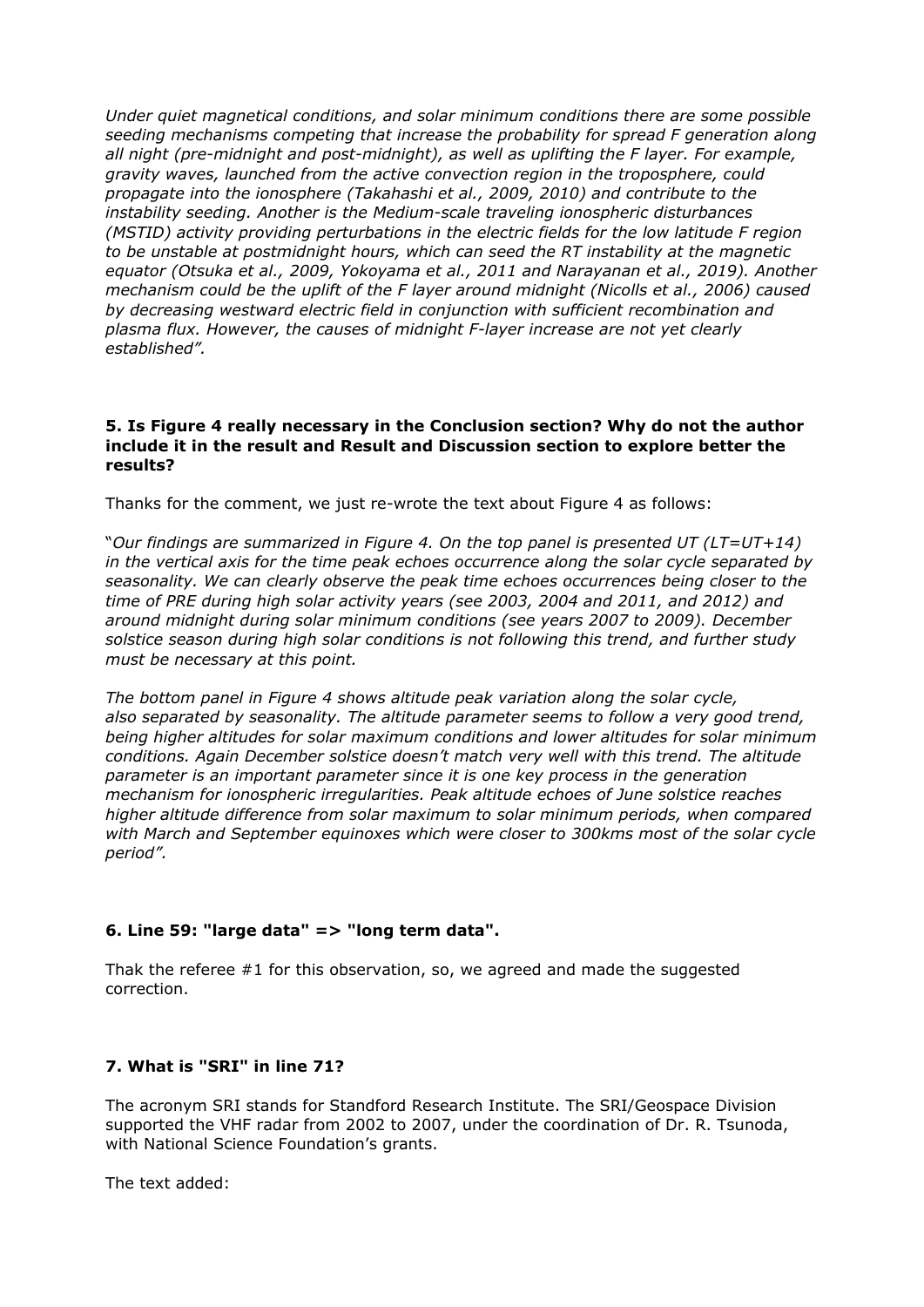*Under quiet magnetical conditions, and solar minimum conditions there are some possible seeding mechanisms competing that increase the probability for spread F generation along all night (pre-midnight and post-midnight), as well as uplifting the F layer. For example, gravity waves, launched from the active convection region in the troposphere, could propagate into the ionosphere (Takahashi et al., 2009, 2010) and contribute to the instability seeding. Another is the Medium-scale traveling ionospheric disturbances (MSTID) activity providing perturbations in the electric fields for the low latitude F region to be unstable at postmidnight hours, which can seed the RT instability at the magnetic equator (Otsuka et al., 2009, Yokoyama et al., 2011 and Narayanan et al., 2019). Another mechanism could be the uplift of the F layer around midnight (Nicolls et al., 2006) caused by decreasing westward electric field in conjunction with sufficient recombination and plasma flux. However, the causes of midnight F-layer increase are not yet clearly established".*

### **5. Is Figure 4 really necessary in the Conclusion section? Why do not the author include it in the result and Result and Discussion section to explore better the results?**

Thanks for the comment, we just re-wrote the text about Figure 4 as follows:

"*Our findings are summarized in Figure 4. On the top panel is presented UT (LT=UT+14) in the vertical axis for the time peak echoes occurrence along the solar cycle separated by seasonality. We can clearly observe the peak time echoes occurrences being closer to the time of PRE during high solar activity years (see 2003, 2004 and 2011, and 2012) and around midnight during solar minimum conditions (see years 2007 to 2009). December solstice season during high solar conditions is not following this trend, and further study must be necessary at this point.* 

*The bottom panel in Figure 4 shows altitude peak variation along the solar cycle, also separated by seasonality. The altitude parameter seems to follow a very good trend, being higher altitudes for solar maximum conditions and lower altitudes for solar minimum conditions. Again December solstice doesn't match very well with this trend. The altitude parameter is an important parameter since it is one key process in the generation mechanism for ionospheric irregularities. Peak altitude echoes of June solstice reaches higher altitude difference from solar maximum to solar minimum periods, when compared with March and September equinoxes which were closer to 300kms most of the solar cycle period".*

# **6. Line 59: "large data" => "long term data".**

Thak the referee  $#1$  for this observation, so, we agreed and made the suggested correction.

# **7. What is "SRI" in line 71?**

The acronym SRI stands for Standford Research Institute. The SRI/Geospace Division supported the VHF radar from 2002 to 2007, under the coordination of Dr. R. Tsunoda, with National Science Foundation's grants.

The text added: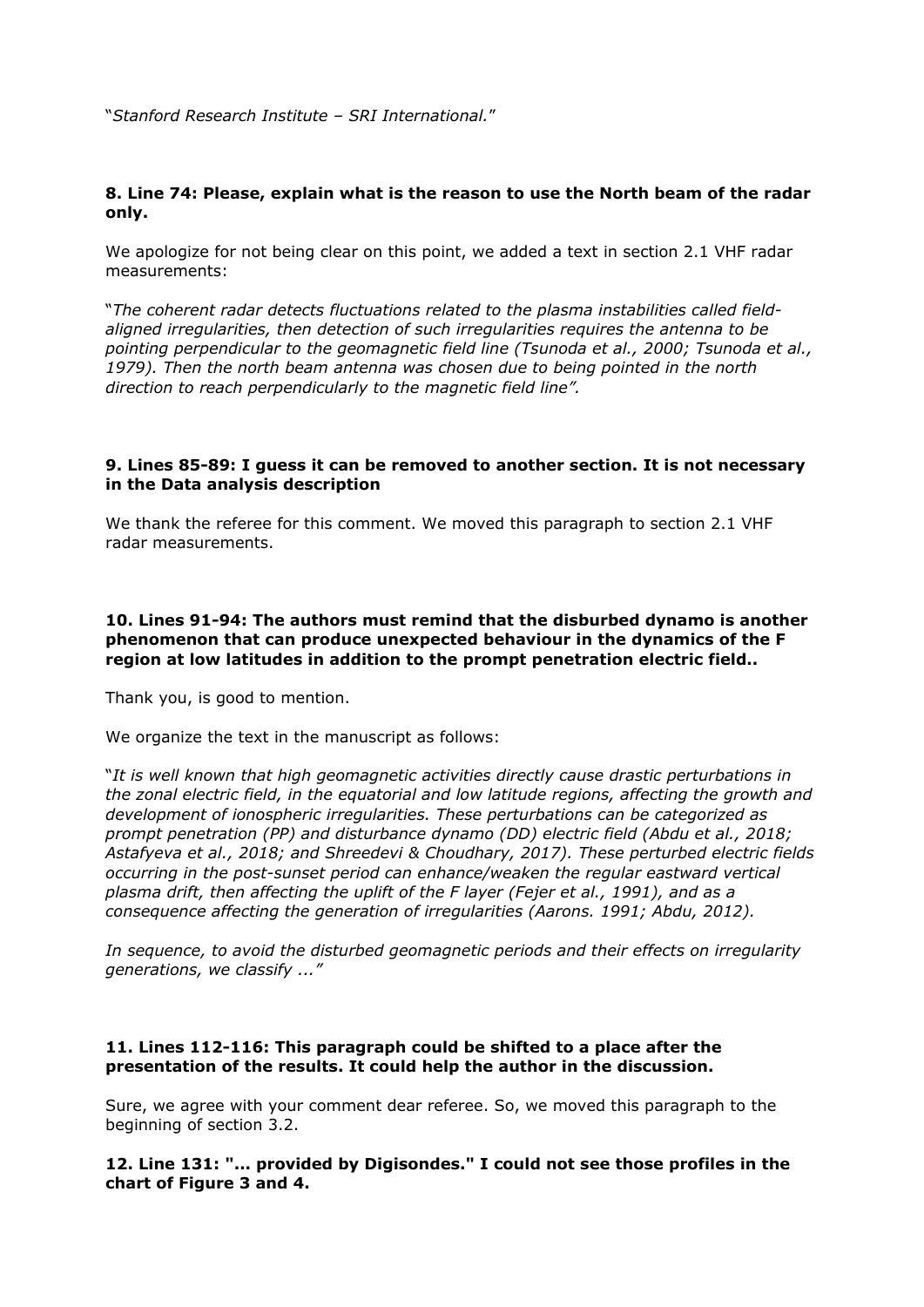"*Stanford Research Institute – SRI International.*"

## **8. Line 74: Please, explain what is the reason to use the North beam of the radar only.**

We apologize for not being clear on this point, we added a text in section 2.1 VHF radar measurements:

"*The coherent radar detects fluctuations related to the plasma instabilities called fieldaligned irregularities, then detection of such irregularities requires the antenna to be pointing perpendicular to the geomagnetic field line (Tsunoda et al., 2000; Tsunoda et al., 1979). Then the north beam antenna was chosen due to being pointed in the north direction to reach perpendicularly to the magnetic field line".*

#### **9. Lines 85-89: I guess it can be removed to another section. It is not necessary in the Data analysis description**

We thank the referee for this comment. We moved this paragraph to section 2.1 VHF radar measurements.

### **10. Lines 91-94: The authors must remind that the disburbed dynamo is another phenomenon that can produce unexpected behaviour in the dynamics of the F region at low latitudes in addition to the prompt penetration electric field..**

Thank you, is good to mention.

We organize the text in the manuscript as follows:

"*It is well known that high geomagnetic activities directly cause drastic perturbations in the zonal electric field, in the equatorial and low latitude regions, affecting the growth and development of ionospheric irregularities. These perturbations can be categorized as prompt penetration (PP) and disturbance dynamo (DD) electric field (Abdu et al., 2018; Astafyeva et al., 2018; and Shreedevi & Choudhary, 2017). These perturbed electric fields occurring in the post-sunset period can enhance/weaken the regular eastward vertical plasma drift, then affecting the uplift of the F layer (Fejer et al., 1991), and as a consequence affecting the generation of irregularities (Aarons. 1991; Abdu, 2012).* 

*In sequence, to avoid the disturbed geomagnetic periods and their effects on irregularity generations, we classify ..."*

### **11. Lines 112-116: This paragraph could be shifted to a place after the presentation of the results. It could help the author in the discussion.**

Sure, we agree with your comment dear referee. So, we moved this paragraph to the beginning of section 3.2.

**12. Line 131: "... provided by Digisondes." I could not see those profiles in the chart of Figure 3 and 4.**